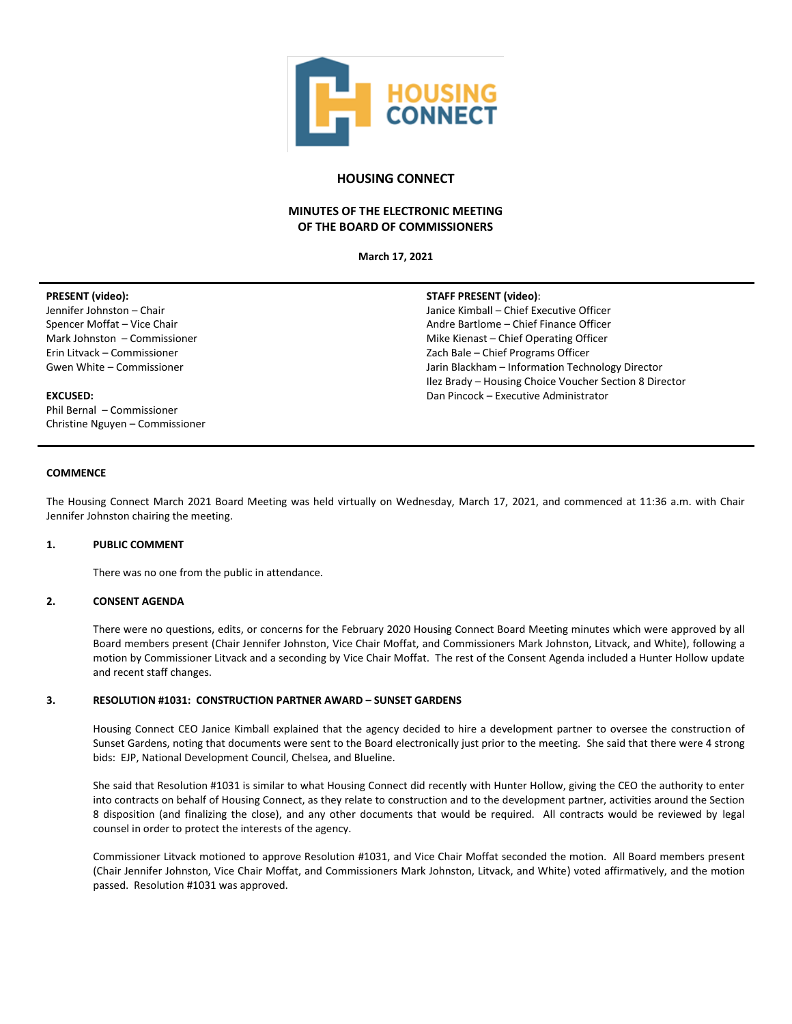

# **HOUSING CONNECT**

# **MINUTES OF THE ELECTRONIC MEETING OF THE BOARD OF COMMISSIONERS**

**March 17, 2021**

**STAFF PRESENT (video)**:

Janice Kimball – Chief Executive Officer Andre Bartlome – Chief Finance Officer Mike Kienast – Chief Operating Officer Zach Bale – Chief Programs Officer

Dan Pincock – Executive Administrator

Jarin Blackham – Information Technology Director Ilez Brady – Housing Choice Voucher Section 8 Director

#### **PRESENT (video):**

Jennifer Johnston – Chair Spencer Moffat – Vice Chair Mark Johnston – Commissioner Erin Litvack – Commissioner Gwen White – Commissioner

#### **EXCUSED:**

Phil Bernal – Commissioner Christine Nguyen – Commissioner

# **COMMENCE**

The Housing Connect March 2021 Board Meeting was held virtually on Wednesday, March 17, 2021, and commenced at 11:36 a.m. with Chair Jennifer Johnston chairing the meeting.

## **1. PUBLIC COMMENT**

There was no one from the public in attendance.

# **2. CONSENT AGENDA**

There were no questions, edits, or concerns for the February 2020 Housing Connect Board Meeting minutes which were approved by all Board members present (Chair Jennifer Johnston, Vice Chair Moffat, and Commissioners Mark Johnston, Litvack, and White), following a motion by Commissioner Litvack and a seconding by Vice Chair Moffat. The rest of the Consent Agenda included a Hunter Hollow update and recent staff changes.

#### **3. RESOLUTION #1031: CONSTRUCTION PARTNER AWARD – SUNSET GARDENS**

Housing Connect CEO Janice Kimball explained that the agency decided to hire a development partner to oversee the construction of Sunset Gardens, noting that documents were sent to the Board electronically just prior to the meeting. She said that there were 4 strong bids: EJP, National Development Council, Chelsea, and Blueline.

She said that Resolution #1031 is similar to what Housing Connect did recently with Hunter Hollow, giving the CEO the authority to enter into contracts on behalf of Housing Connect, as they relate to construction and to the development partner, activities around the Section 8 disposition (and finalizing the close), and any other documents that would be required. All contracts would be reviewed by legal counsel in order to protect the interests of the agency.

Commissioner Litvack motioned to approve Resolution #1031, and Vice Chair Moffat seconded the motion. All Board members present (Chair Jennifer Johnston, Vice Chair Moffat, and Commissioners Mark Johnston, Litvack, and White) voted affirmatively, and the motion passed. Resolution #1031 was approved.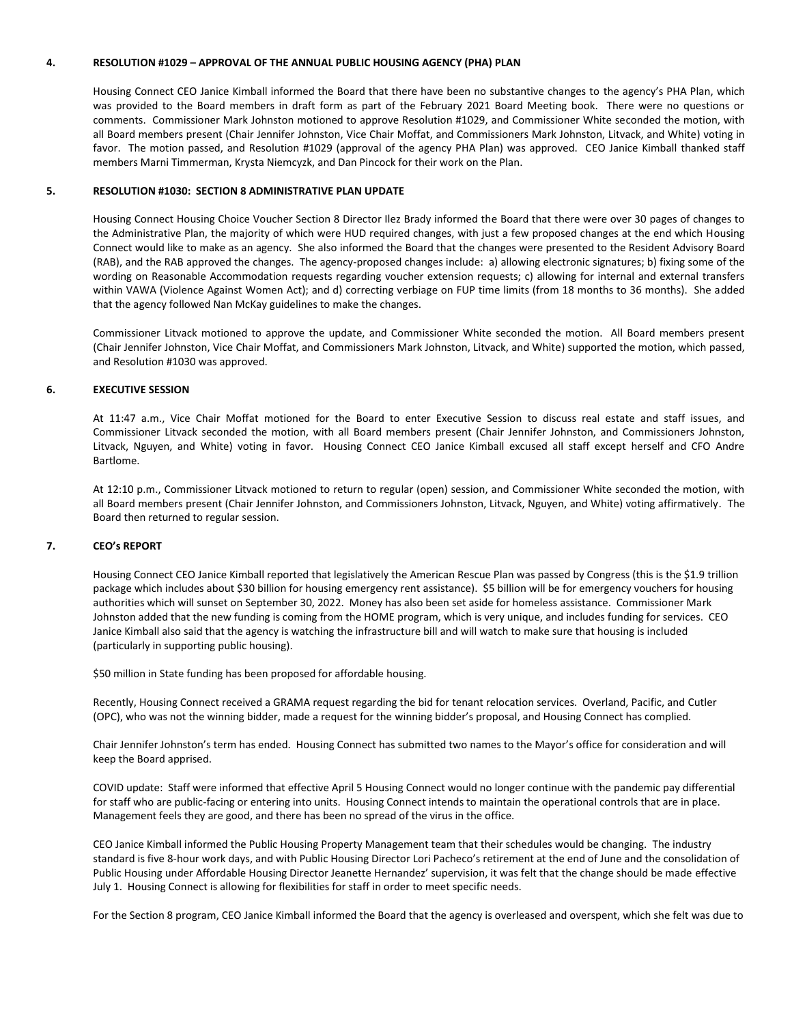#### **4. RESOLUTION #1029 – APPROVAL OF THE ANNUAL PUBLIC HOUSING AGENCY (PHA) PLAN**

Housing Connect CEO Janice Kimball informed the Board that there have been no substantive changes to the agency's PHA Plan, which was provided to the Board members in draft form as part of the February 2021 Board Meeting book. There were no questions or comments. Commissioner Mark Johnston motioned to approve Resolution #1029, and Commissioner White seconded the motion, with all Board members present (Chair Jennifer Johnston, Vice Chair Moffat, and Commissioners Mark Johnston, Litvack, and White) voting in favor. The motion passed, and Resolution #1029 (approval of the agency PHA Plan) was approved. CEO Janice Kimball thanked staff members Marni Timmerman, Krysta Niemcyzk, and Dan Pincock for their work on the Plan.

#### **5. RESOLUTION #1030: SECTION 8 ADMINISTRATIVE PLAN UPDATE**

Housing Connect Housing Choice Voucher Section 8 Director Ilez Brady informed the Board that there were over 30 pages of changes to the Administrative Plan, the majority of which were HUD required changes, with just a few proposed changes at the end which Housing Connect would like to make as an agency. She also informed the Board that the changes were presented to the Resident Advisory Board (RAB), and the RAB approved the changes. The agency-proposed changes include: a) allowing electronic signatures; b) fixing some of the wording on Reasonable Accommodation requests regarding voucher extension requests; c) allowing for internal and external transfers within VAWA (Violence Against Women Act); and d) correcting verbiage on FUP time limits (from 18 months to 36 months). She added that the agency followed Nan McKay guidelines to make the changes.

Commissioner Litvack motioned to approve the update, and Commissioner White seconded the motion. All Board members present (Chair Jennifer Johnston, Vice Chair Moffat, and Commissioners Mark Johnston, Litvack, and White) supported the motion, which passed, and Resolution #1030 was approved.

## **6. EXECUTIVE SESSION**

At 11:47 a.m., Vice Chair Moffat motioned for the Board to enter Executive Session to discuss real estate and staff issues, and Commissioner Litvack seconded the motion, with all Board members present (Chair Jennifer Johnston, and Commissioners Johnston, Litvack, Nguyen, and White) voting in favor. Housing Connect CEO Janice Kimball excused all staff except herself and CFO Andre Bartlome.

At 12:10 p.m., Commissioner Litvack motioned to return to regular (open) session, and Commissioner White seconded the motion, with all Board members present (Chair Jennifer Johnston, and Commissioners Johnston, Litvack, Nguyen, and White) voting affirmatively. The Board then returned to regular session.

#### **7. CEO's REPORT**

Housing Connect CEO Janice Kimball reported that legislatively the American Rescue Plan was passed by Congress (this is the \$1.9 trillion package which includes about \$30 billion for housing emergency rent assistance). \$5 billion will be for emergency vouchers for housing authorities which will sunset on September 30, 2022. Money has also been set aside for homeless assistance. Commissioner Mark Johnston added that the new funding is coming from the HOME program, which is very unique, and includes funding for services. CEO Janice Kimball also said that the agency is watching the infrastructure bill and will watch to make sure that housing is included (particularly in supporting public housing).

\$50 million in State funding has been proposed for affordable housing.

Recently, Housing Connect received a GRAMA request regarding the bid for tenant relocation services. Overland, Pacific, and Cutler (OPC), who was not the winning bidder, made a request for the winning bidder's proposal, and Housing Connect has complied.

Chair Jennifer Johnston's term has ended. Housing Connect has submitted two names to the Mayor's office for consideration and will keep the Board apprised.

COVID update: Staff were informed that effective April 5 Housing Connect would no longer continue with the pandemic pay differential for staff who are public-facing or entering into units. Housing Connect intends to maintain the operational controls that are in place. Management feels they are good, and there has been no spread of the virus in the office.

CEO Janice Kimball informed the Public Housing Property Management team that their schedules would be changing. The industry standard is five 8-hour work days, and with Public Housing Director Lori Pacheco's retirement at the end of June and the consolidation of Public Housing under Affordable Housing Director Jeanette Hernandez' supervision, it was felt that the change should be made effective July 1. Housing Connect is allowing for flexibilities for staff in order to meet specific needs.

For the Section 8 program, CEO Janice Kimball informed the Board that the agency is overleased and overspent, which she felt was due to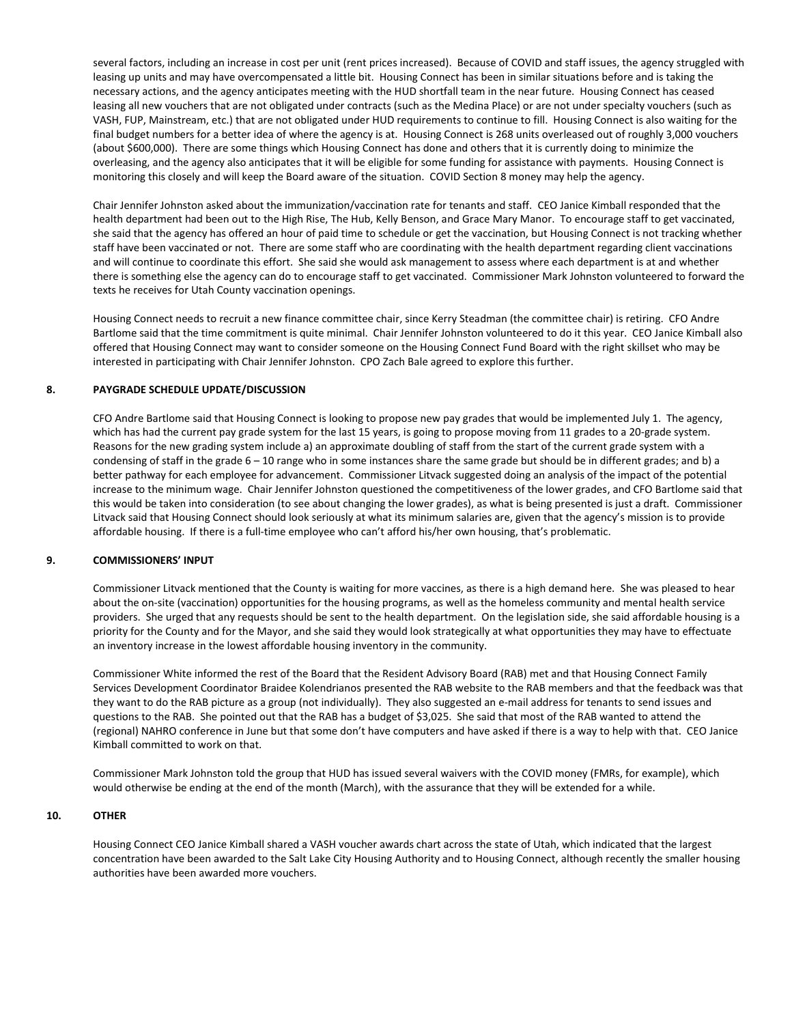several factors, including an increase in cost per unit (rent prices increased). Because of COVID and staff issues, the agency struggled with leasing up units and may have overcompensated a little bit. Housing Connect has been in similar situations before and is taking the necessary actions, and the agency anticipates meeting with the HUD shortfall team in the near future. Housing Connect has ceased leasing all new vouchers that are not obligated under contracts (such as the Medina Place) or are not under specialty vouchers (such as VASH, FUP, Mainstream, etc.) that are not obligated under HUD requirements to continue to fill. Housing Connect is also waiting for the final budget numbers for a better idea of where the agency is at. Housing Connect is 268 units overleased out of roughly 3,000 vouchers (about \$600,000). There are some things which Housing Connect has done and others that it is currently doing to minimize the overleasing, and the agency also anticipates that it will be eligible for some funding for assistance with payments. Housing Connect is monitoring this closely and will keep the Board aware of the situation. COVID Section 8 money may help the agency.

Chair Jennifer Johnston asked about the immunization/vaccination rate for tenants and staff. CEO Janice Kimball responded that the health department had been out to the High Rise, The Hub, Kelly Benson, and Grace Mary Manor. To encourage staff to get vaccinated, she said that the agency has offered an hour of paid time to schedule or get the vaccination, but Housing Connect is not tracking whether staff have been vaccinated or not. There are some staff who are coordinating with the health department regarding client vaccinations and will continue to coordinate this effort. She said she would ask management to assess where each department is at and whether there is something else the agency can do to encourage staff to get vaccinated. Commissioner Mark Johnston volunteered to forward the texts he receives for Utah County vaccination openings.

Housing Connect needs to recruit a new finance committee chair, since Kerry Steadman (the committee chair) is retiring. CFO Andre Bartlome said that the time commitment is quite minimal. Chair Jennifer Johnston volunteered to do it this year. CEO Janice Kimball also offered that Housing Connect may want to consider someone on the Housing Connect Fund Board with the right skillset who may be interested in participating with Chair Jennifer Johnston. CPO Zach Bale agreed to explore this further.

## **8. PAYGRADE SCHEDULE UPDATE/DISCUSSION**

CFO Andre Bartlome said that Housing Connect is looking to propose new pay grades that would be implemented July 1. The agency, which has had the current pay grade system for the last 15 years, is going to propose moving from 11 grades to a 20-grade system. Reasons for the new grading system include a) an approximate doubling of staff from the start of the current grade system with a condensing of staff in the grade  $6 - 10$  range who in some instances share the same grade but should be in different grades; and b) a better pathway for each employee for advancement. Commissioner Litvack suggested doing an analysis of the impact of the potential increase to the minimum wage. Chair Jennifer Johnston questioned the competitiveness of the lower grades, and CFO Bartlome said that this would be taken into consideration (to see about changing the lower grades), as what is being presented is just a draft. Commissioner Litvack said that Housing Connect should look seriously at what its minimum salaries are, given that the agency's mission is to provide affordable housing. If there is a full-time employee who can't afford his/her own housing, that's problematic.

## **9. COMMISSIONERS' INPUT**

Commissioner Litvack mentioned that the County is waiting for more vaccines, as there is a high demand here. She was pleased to hear about the on-site (vaccination) opportunities for the housing programs, as well as the homeless community and mental health service providers. She urged that any requests should be sent to the health department. On the legislation side, she said affordable housing is a priority for the County and for the Mayor, and she said they would look strategically at what opportunities they may have to effectuate an inventory increase in the lowest affordable housing inventory in the community.

Commissioner White informed the rest of the Board that the Resident Advisory Board (RAB) met and that Housing Connect Family Services Development Coordinator Braidee Kolendrianos presented the RAB website to the RAB members and that the feedback was that they want to do the RAB picture as a group (not individually). They also suggested an e-mail address for tenants to send issues and questions to the RAB. She pointed out that the RAB has a budget of \$3,025. She said that most of the RAB wanted to attend the (regional) NAHRO conference in June but that some don't have computers and have asked if there is a way to help with that. CEO Janice Kimball committed to work on that.

Commissioner Mark Johnston told the group that HUD has issued several waivers with the COVID money (FMRs, for example), which would otherwise be ending at the end of the month (March), with the assurance that they will be extended for a while.

#### **10. OTHER**

Housing Connect CEO Janice Kimball shared a VASH voucher awards chart across the state of Utah, which indicated that the largest concentration have been awarded to the Salt Lake City Housing Authority and to Housing Connect, although recently the smaller housing authorities have been awarded more vouchers.